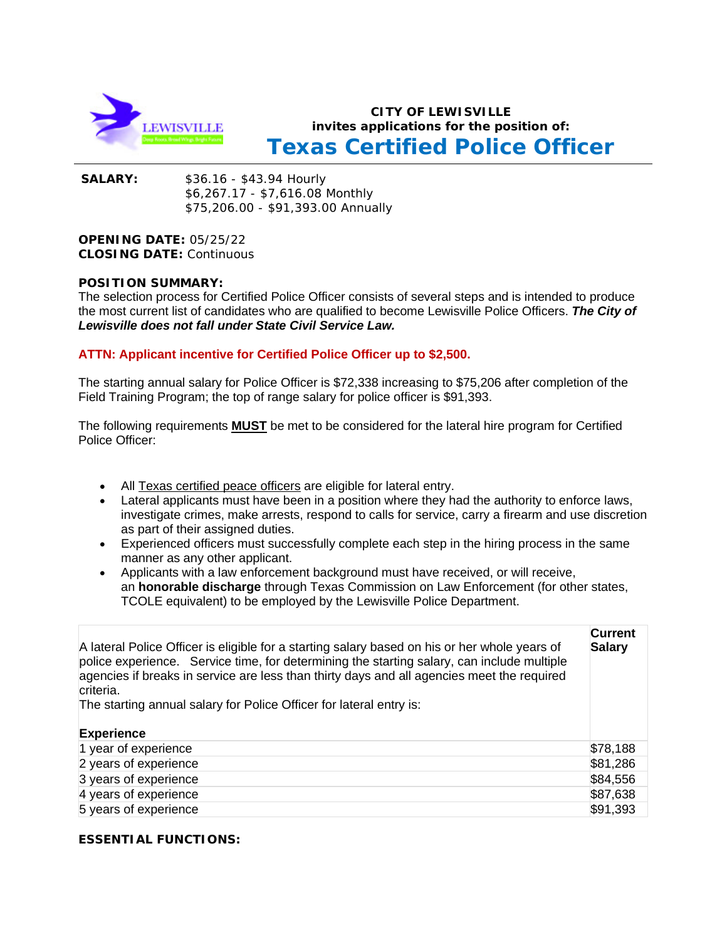

# **CITY OF LEWISVILLE invites applications for the position of: Texas Certified Police Officer**

**SALARY:** \$36.16 - \$43.94 Hourly \$6,267.17 - \$7,616.08 Monthly \$75,206.00 - \$91,393.00 Annually

**OPENING DATE:** 05/25/22 **CLOSING DATE:** Continuous

## **POSITION SUMMARY:**

The selection process for Certified Police Officer consists of several steps and is intended to produce the most current list of candidates who are qualified to become Lewisville Police Officers. *The City of Lewisville does not fall under State Civil Service Law.*

## **ATTN: Applicant incentive for Certified Police Officer up to \$2,500.**

The starting annual salary for Police Officer is \$72,338 increasing to \$75,206 after completion of the Field Training Program; the top of range salary for police officer is \$91,393.

The following requirements **MUST** be met to be considered for the lateral hire program for Certified Police Officer:

- All Texas certified peace officers are eligible for lateral entry.
- Lateral applicants must have been in a position where they had the authority to enforce laws, investigate crimes, make arrests, respond to calls for service, carry a firearm and use discretion as part of their assigned duties.
- Experienced officers must successfully complete each step in the hiring process in the same manner as any other applicant.
- Applicants with a law enforcement background must have received, or will receive, an **honorable discharge** through Texas Commission on Law Enforcement (for other states, TCOLE equivalent) to be employed by the Lewisville Police Department.

| A lateral Police Officer is eligible for a starting salary based on his or her whole years of<br>police experience. Service time, for determining the starting salary, can include multiple<br>agencies if breaks in service are less than thirty days and all agencies meet the required<br>criteria.<br>The starting annual salary for Police Officer for lateral entry is:<br><b>Experience</b> | <b>Current</b><br><b>Salary</b> |
|----------------------------------------------------------------------------------------------------------------------------------------------------------------------------------------------------------------------------------------------------------------------------------------------------------------------------------------------------------------------------------------------------|---------------------------------|
| 1 year of experience                                                                                                                                                                                                                                                                                                                                                                               | \$78,188                        |
| 2 years of experience                                                                                                                                                                                                                                                                                                                                                                              | \$81,286                        |
| 3 years of experience                                                                                                                                                                                                                                                                                                                                                                              | \$84,556                        |
| 4 years of experience                                                                                                                                                                                                                                                                                                                                                                              | \$87,638                        |
| 5 years of experience                                                                                                                                                                                                                                                                                                                                                                              | \$91,393                        |

## **ESSENTIAL FUNCTIONS:**